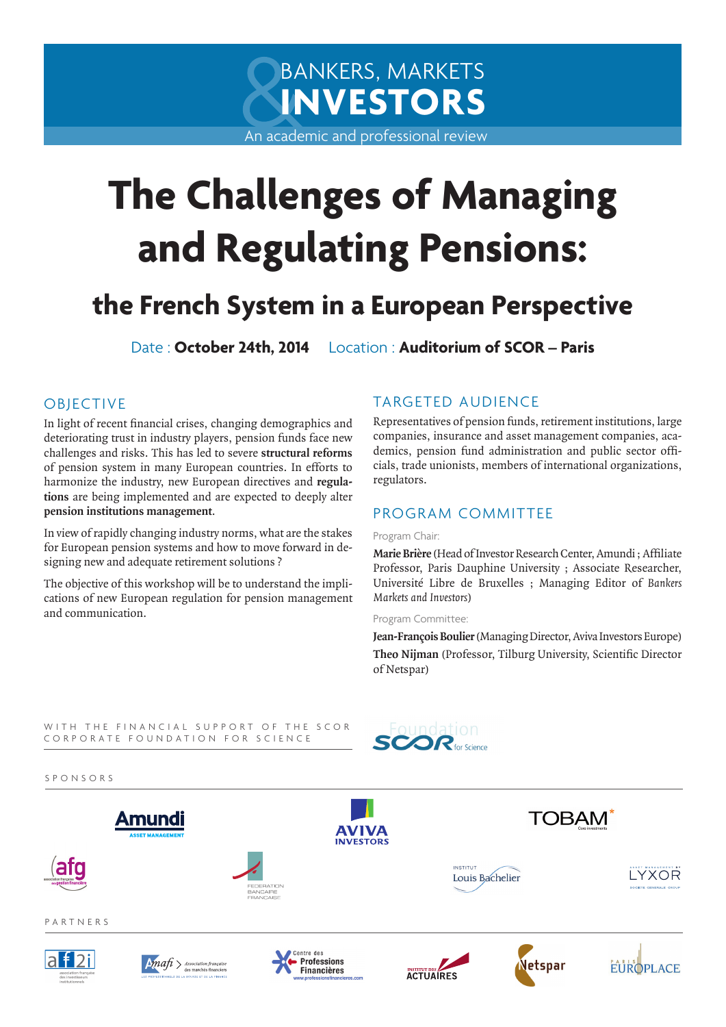# BANKERS, MARKETS **INVESTORS**

An academic and professional review

# **The Challenges of Managing and Regulating Pensions:**

# **the French System in a European Perspective**

Date : **October 24th, 2014** Location : **Auditorium of SCOR – Paris**

# OBJECTIVE

In light of recent financial crises, changing demographics and deteriorating trust in industry players, pension funds face new challenges and risks. This has led to severe **structural reforms**  of pension system in many European countries. In efforts to harmonize the industry, new European directives and **regulations** are being implemented and are expected to deeply alter **pension institutions management**.

In view of rapidly changing industry norms, what are the stakes for European pension systems and how to move forward in designing new and adequate retirement solutions ?

The objective of this workshop will be to understand the implications of new European regulation for pension management and communication.

# TARGETED AUDIENCE

Representatives of pension funds, retirement institutions, large companies, insurance and asset management companies, academics, pension fund administration and public sector officials, trade unionists, members of international organizations, regulators.

# PROGRAM COMMITTEE

#### Program Chair:

**Marie Brière** (Head of Investor Research Center, Amundi ; Affiliate Professor, Paris Dauphine University ; Associate Researcher, Université Libre de Bruxelles ; Managing Editor of *Bankers Markets and Investors*)

Program Committee:

**Jean-François Boulier** (Managing Director, Aviva Investors Europe) **Theo Nijman** (Professor, Tilburg University, Scientific Director of Netspar)

WITH THE FINANCIAL SUPPORT OF THE SCOR CORPORATE FOUNDATION FOR SCIENCE



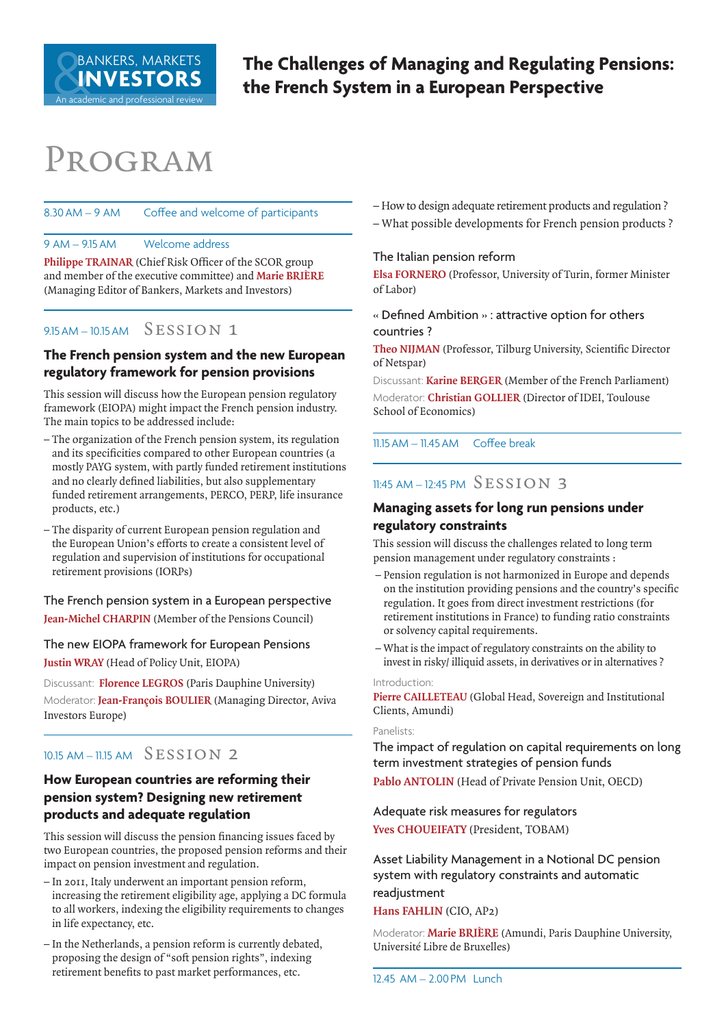An academic and professional review

**The Challenges of Managing and Regulating Pensions: the French System in a European Perspective**

# Program

#### 8.30AM – 9 AM Coffee and welcome of participants

9 AM – 9.15AM Welcome address

**Philippe TRAINAR** (Chief Risk Officer of the SCOR group and member of the executive committee) and **Marie BRIÈRE** (Managing Editor of Bankers, Markets and Investors)

## $9.15AM - 10.15AM$  SESSION 1

# **The French pension system and the new European regulatory framework for pension provisions**

This session will discuss how the European pension regulatory framework (EIOPA) might impact the French pension industry. The main topics to be addressed include:

- The organization of the French pension system, its regulation and its specificities compared to other European countries (a mostly PAYG system, with partly funded retirement institutions and no clearly defined liabilities, but also supplementary funded retirement arrangements, PERCO, PERP, life insurance products, etc.)
- The disparity of current European pension regulation and the European Union's efforts to create a consistent level of regulation and supervision of institutions for occupational retirement provisions (IORPs)

The French pension system in a European perspective **Jean-Michel CHARPIN** (Member of the Pensions Council)

The new EIOPA framework for European Pensions **Justin WRAY** (Head of Policy Unit, EIOPA)

Discussant: **Florence LEGROS** (Paris Dauphine University) Moderator: **Jean-François BOULIER** (Managing Director, Aviva Investors Europe)

# 10.15 AM – 11.15 AM SESSION 2

# **How European countries are reforming their pension system? Designing new retirement products and adequate regulation**

This session will discuss the pension financing issues faced by two European countries, the proposed pension reforms and their impact on pension investment and regulation.

- In 2011, Italy underwent an important pension reform, increasing the retirement eligibility age, applying a DC formula to all workers, indexing the eligibility requirements to changes in life expectancy, etc.
- In the Netherlands, a pension reform is currently debated, proposing the design of "soft pension rights", indexing retirement benefits to past market performances, etc.

– How to design adequate retirement products and regulation ?

– What possible developments for French pension products ?

#### The Italian pension reform

**Elsa FORNERO** (Professor, University of Turin, former Minister of Labor)

« Defined Ambition » : attractive option for others countries ?

**Theo NIJMAN** (Professor, Tilburg University, Scientific Director of Netspar)

Discussant: **Karine BERGER** (Member of the French Parliament) Moderator: **Christian GOLLIER** (Director of IDEI, Toulouse School of Economics)

11.15AM – 11.45AM Coffee break

# $11:45$  AM – 12:45 PM  $SESSION$  3

#### **Managing assets for long run pensions under regulatory constraints**

This session will discuss the challenges related to long term pension management under regulatory constraints :

- Pension regulation is not harmonized in Europe and depends on the institution providing pensions and the country's specific regulation. It goes from direct investment restrictions (for retirement institutions in France) to funding ratio constraints or solvency capital requirements.
- What is the impact of regulatory constraints on the ability to invest in risky/ illiquid assets, in derivatives or in alternatives ?

#### Introduction:

**Pierre CAILLETEAU** (Global Head, Sovereign and Institutional Clients, Amundi)

#### Panelists:

The impact of regulation on capital requirements on long term investment strategies of pension funds **Pablo ANTOLIN** (Head of Private Pension Unit, OECD)

Adequate risk measures for regulators **Yves CHOUEIFATY** (President, TOBAM)

Asset Liability Management in a Notional DC pension system with regulatory constraints and automatic readjustment

#### **Hans FAHLIN** (CIO, AP2)

Moderator: **Marie BRIÈRE** (Amundi, Paris Dauphine University, Université Libre de Bruxelles)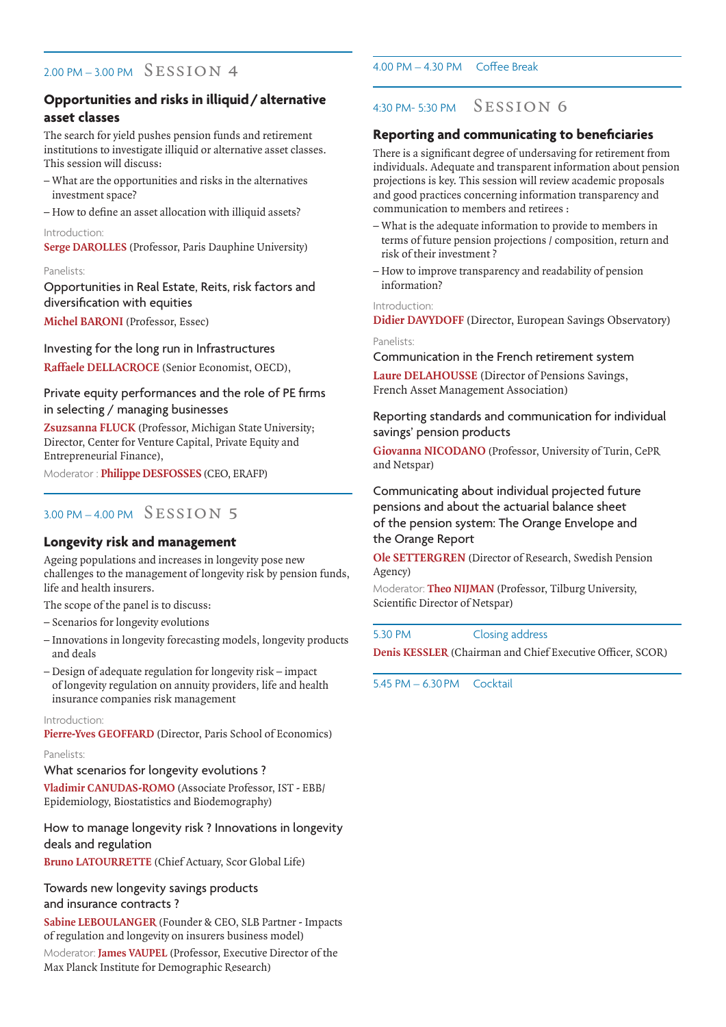## $2.00 \text{ PM} - 3.00 \text{ PM}$  SESSION 4

# **Opportunities and risks in illiquid/alternative asset classes**

The search for yield pushes pension funds and retirement institutions to investigate illiquid or alternative asset classes. This session will discuss:

- What are the opportunities and risks in the alternatives investment space?
- How to define an asset allocation with illiquid assets?
- Introduction:

**Serge DAROLLES** (Professor, Paris Dauphine University)

#### Panelists:

Opportunities in Real Estate, Reits, risk factors and diversification with equities

**Michel BARONI** (Professor, Essec)

Investing for the long run in Infrastructures

**Raffaele DELLACROCE** (Senior Economist, OECD),

#### Private equity performances and the role of PE firms in selecting / managing businesses

**Zsuzsanna FLUCK** (Professor, Michigan State University; Director, Center for Venture Capital, Private Equity and Entrepreneurial Finance),

Moderator : **Philippe DESFOSSES** (CEO, ERAFP)

# $3.00 \text{ PM} - 4.00 \text{ PM}$  SESSION 5

#### **Longevity risk and management**

Ageing populations and increases in longevity pose new challenges to the management of longevity risk by pension funds, life and health insurers.

The scope of the panel is to discuss:

- Scenarios for longevity evolutions
- Innovations in longevity forecasting models, longevity products and deals
- Design of adequate regulation for longevity risk impact of longevity regulation on annuity providers, life and health insurance companies risk management

Introduction:

**Pierre-Yves GEOFFARD** (Director, Paris School of Economics)

#### Panelists:

What scenarios for longevity evolutions ?

**Vladimir CANUDAS-ROMO** (Associate Professor, IST - EBB/ Epidemiology, Biostatistics and Biodemography)

#### How to manage longevity risk ? Innovations in longevity deals and regulation

**Bruno LATOURRETTE** (Chief Actuary, Scor Global Life)

Towards new longevity savings products and insurance contracts ?

**Sabine LEBOULANGER** (Founder & CEO, SLB Partner - Impacts of regulation and longevity on insurers business model)

Moderator: **James VAUPEL** (Professor, Executive Director of the Max Planck Institute for Demographic Research)

#### 4.00 PM – 4.30 PM Coffee Break

# 4:30 PM- 5:30 PM Session 6

#### **Reporting and communicating to beneficiaries**

There is a significant degree of undersaving for retirement from individuals. Adequate and transparent information about pension projections is key. This session will review academic proposals and good practices concerning information transparency and communication to members and retirees :

- What is the adequate information to provide to members in terms of future pension projections / composition, return and risk of their investment ?
- How to improve transparency and readability of pension information?

#### Introduction:

**Didier DAVYDOFF** (Director, European Savings Observatory)

Panelists: Communication in the French retirement system

**Laure DELAHOUSSE** (Director of Pensions Savings, French Asset Management Association)

Reporting standards and communication for individual savings' pension products

**Giovanna NICODANO** (Professor, University of Turin, CePR and Netspar)

Communicating about individual projected future pensions and about the actuarial balance sheet of the pension system: The Orange Envelope and the Orange Report

**Ole SETTERGREN** (Director of Research, Swedish Pension Agency)

Moderator: **Theo NIJMAN** (Professor, Tilburg University, Scientific Director of Netspar)

5.30 PM Closing address

**Denis KESSLER** (Chairman and Chief Executive Officer, SCOR)

5.45 PM – 6.30PM Cocktail